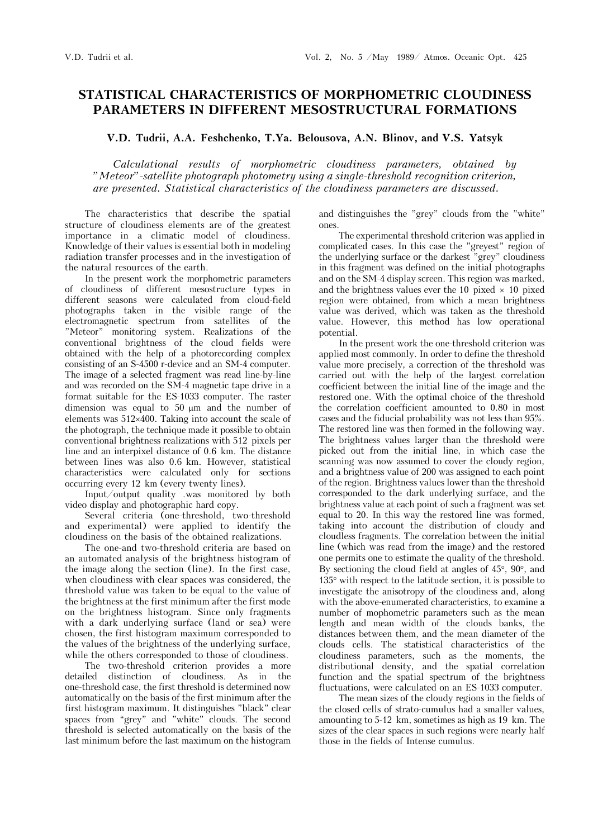## **STATISTICAL CHARACTERISTICS OF MORPHOMETRIC CLOUDINESS PARAMETERS IN DIFFERENT MESOSTRUCTURAL FORMATIONS**

**V.D. Tudrii, A.A. Feshchenko, T.Ya. Belousova, A.N. Blinov, and V.S. Yatsyk** 

*Calculational results of morphometric cloudiness parameters, obtained by "Meteor"-satellite photograph photometry using a single-threshold recognition criterion, are presented. Statistical characteristics of the cloudiness parameters are discussed.*

The characteristics that describe the spatial structure of cloudiness elements are of the greatest importance in a climatic model of cloudiness. Knowledge of their values is essential both in modeling radiation transfer processes and in the investigation of the natural resources of the earth.

In the present work the morphometric parameters of cloudiness of different mesostructure types in different seasons were calculated from cloud-field photographs taken in the visible range of the electromagnetic spectrum from satellites of the "Meteor" monitoring system. Realizations of the conventional brightness of the cloud fields were obtained with the help of a photorecording complex consisting of an S-4500 r-device and an SM-4 computer. The image of a selected fragment was read line-by-line and was recorded on the SM-4 magnetic tape drive in a format suitable for the ES-1033 computer. The raster dimension was equal to  $50 \mu m$  and the number of elements was  $512\times400$ . Taking into account the scale of the photograph, the technique made it possible to obtain conventional brightness realizations with 512 pixels per line and an interpixel distance of 0.6 km. The distance between lines was also 0.6 km. However, statistical characteristics were calculated only for sections occurring every 12 km (every twenty lines).

Input/output quality .was monitored by both video display and photographic hard copy.

Several criteria (one-threshold, two-threshold and experimental) were applied to identify the cloudiness on the basis of the obtained realizations.

The one-and two-threshold criteria are based on an automated analysis of the brightness histogram of the image along the section (line). In the first case, when cloudiness with clear spaces was considered, the threshold value was taken to be equal to the value of the brightness at the first minimum after the first mode on the brightness histogram. Since only fragments with a dark underlying surface (land or sea) were chosen, the first histogram maximum corresponded to the values of the brightness of the underlying surface, while the others corresponded to those of cloudiness.

The two-threshold criterion provides a more detailed distinction of cloudiness. As in the one-threshold case, the first threshold is determined now automatically on the basis of the first minimum after the first histogram maximum. It distinguishes "black" clear spaces from "grey" and "white" clouds. The second threshold is selected automatically on the basis of the last minimum before the last maximum on the histogram

and distinguishes the "grey" clouds from the "white" ones.

The experimental threshold criterion was applied in complicated cases. In this case the "greyest" region of the underlying surface or the darkest "grey" cloudiness in this fragment was defined on the initial photographs and on the SM-4 display screen. This region was marked, and the brightness values ever the 10 pixed  $\times$  10 pixed region were obtained, from which a mean brightness value was derived, which was taken as the threshold value. However, this method has low operational potential.

In the present work the one-threshold criterion was applied most commonly. In order to define the threshold value more precisely, a correction of the threshold was carried out with the help of the largest correlation coefficient between the initial line of the image and the restored one. With the optimal choice of the threshold the correlation coefficient amounted to 0.80 in most cases and the fiducial probability was not less than 95%. The restored line was then formed in the following way. The brightness values larger than the threshold were picked out from the initial line, in which case the scanning was now assumed to cover the cloudy region, and a brightness value of 200 was assigned to each point of the region. Brightness values lower than the threshold corresponded to the dark underlying surface, and the brightness value at each point of such a fragment was set equal to 20. In this way the restored line was formed, taking into account the distribution of cloudy and cloudless fragments. The correlation between the initial line (which was read from the image) and the restored one permits one to estimate the quality of the threshold. By sectioning the cloud field at angles of  $45^{\circ}$ ,  $90^{\circ}$ , and  $135^\circ$  with respect to the latitude section, it is possible to investigate the anisotropy of the cloudiness and, along with the above-enumerated characteristics, to examine a number of mophometric parameters such as the mean length and mean width of the clouds banks, the distances between them, and the mean diameter of the clouds cells. The statistical characteristics of the cloudiness parameters, such as the moments, the distributional density, and the spatial correlation function and the spatial spectrum of the brightness fluctuations, were calculated on an ES-1033 computer.

The mean sizes of the cloudy regions in the fields of the closed cells of strato-cumulus had a smaller values, amounting to 5-12 km, sometimes as high as 19 km. The sizes of the clear spaces in such regions were nearly half those in the fields of Intense cumulus.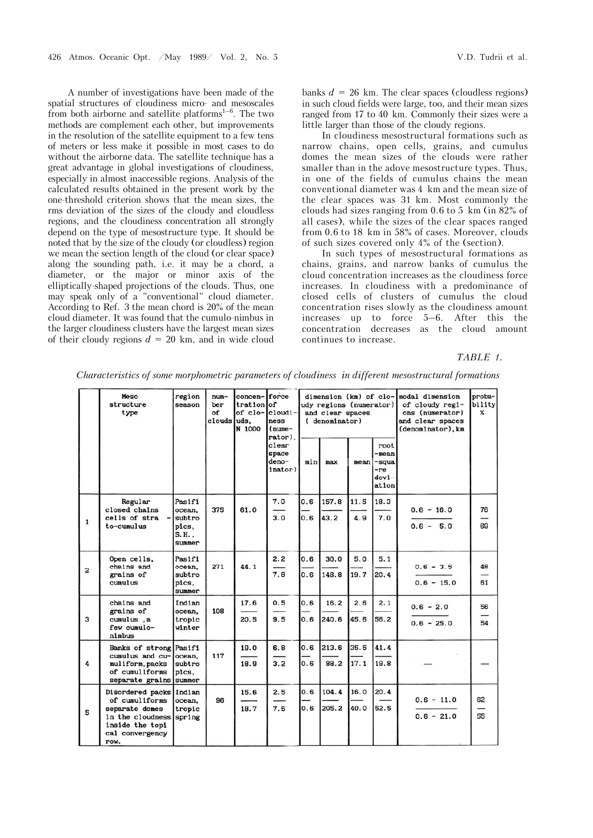A number of investigations have been made of the spatial structures of cloudiness micro- and mesoscales from both airborne and satellite platforms<sup>1–6</sup>. The two methods are complement each other, but improvements in the resolution of the satellite equipment to a few tens of meters or less make it possible in most cases to do without the airborne data. The satellite technique has a great advantage in global investigations of cloudiness, especially in almost inaccessible regions. Analysis of the calculated results obtained in the present work by the one-threshold criterion shows that the mean sizes, the rms deviation of the sizes of the cloudy and cloudless regions, and the cloudiness concentration all strongly depend on the type of mesostructure type. It should be noted that by the size of the cloudy (or cloudless) region we mean the section length of the cloud (or clear space) along the sounding path, i.e. it may be a chord, a diameter, or the major or minor axis of the elliptically-shaped projections of the clouds. Thus, one may speak only of a "conventional" cloud diameter. According to Ref. 3 the mean chord is 20% of the mean cloud diameter. It was found that the cumulo-nimbus in the larger cloudiness clusters have the largest mean sizes of their cloudy regions  $d = 20$  km, and in wide cloud

banks  $d = 26$  km. The clear spaces (cloudless regions) in such cloud fields were large, too, and their mean sizes ranged from 17 to 40 km. Commonly their sizes were a little larger than those of the cloudy regions.

In cloudiness mesostructural formations such as narrow chains, open cells, grains, and cumulus domes the mean sizes of the clouds were rather smaller than in the adove mesostructure types. Thus, in one of the fields of cumulus chains the mean conventional diameter was 4 km and the mean size of the clear spaces was 31 km. Most commonly the clouds had sizes ranging from 0.6 to 5 km (in 82% of all cases), while the sizes of the clear spaces ranged from 0.6 to 18 km in 58% of cases. Moreover, clouds of such sizes covered only 4% of the (section).

In such types of mesostructural formations as chains, grains, and narrow banks of cumulus the cloud concentration increases as the cloudiness force increases. In cloudiness with a predominance of closed cells of clusters of cumulus the cloud concentration rises slowly as the cloudiness amount increases up to force 5–6. After this the concentration decreases as the cloud amount continues to increase.

## *TABLE 1.*

|                | Meso<br>structure<br>type                                                                                                            | region<br>season                                       | $num-$<br>ber<br>of<br>clouds | concen-force<br>tration of<br>of clo-<br>luds.<br>N 1000 | $cloudi -$<br>ness<br>$(nume -$<br>rator). | dimension (km) of clo-<br>udy regions (numerator)<br>and clear spaces<br>(denominator) |                |              |                                                   | modal dimension<br>of cloudy regi-<br>ons (numerator)<br>and clear spaces<br>(denominator), km | proba-<br>bility<br>x |
|----------------|--------------------------------------------------------------------------------------------------------------------------------------|--------------------------------------------------------|-------------------------------|----------------------------------------------------------|--------------------------------------------|----------------------------------------------------------------------------------------|----------------|--------------|---------------------------------------------------|------------------------------------------------------------------------------------------------|-----------------------|
|                |                                                                                                                                      |                                                        |                               |                                                          | clear<br>space<br>deno-<br>inator)         | min                                                                                    | max            | mean         | root<br>-mean<br>-squa<br>-re<br>$devi-$<br>ation |                                                                                                |                       |
| $\mathbf{1}$   | Regular<br>closed chains<br>cells of stra<br>to-cumulus                                                                              | Pasifi<br>ocean.<br>subtro<br>pics.<br>S.H.,<br>summer | 375                           | 61.0                                                     | 7.0<br>3.0                                 | 0.6<br>0.6                                                                             | 157.8<br>43.2  | 11.5<br>4.9  | 18.3<br>7.0                                       | $0.6 - 16.0$<br>$0.6 - 5.0$                                                                    | 76<br>69              |
| $\overline{c}$ | Open cells,<br>chains and<br>grains of<br>cumulus                                                                                    | Pasifi<br>ocean.<br>subtro<br>pics,<br>summer          | 271                           | 44.1                                                     | 2.2<br>7.8                                 | 0.6<br>0.6                                                                             | 30.0<br>148.8  | 5.0<br>19.7  | 5.1<br>20.4                                       | $0.6 - 3.5$<br>$0.6 - 15.0$                                                                    | 48<br>61              |
| 3              | chains and<br>grains of<br>cumulus, a<br>few cumulo-<br>nimbus                                                                       | Indian<br>ocean.<br>tropic<br>winter                   | 108                           | 17.6<br>20.5                                             | 0.5<br>9.5                                 | 0.6<br>0.6                                                                             | 16.2<br>240.6  | 2.6<br>45.6  | 2.1<br>56.2                                       | $0.6 - 2.0$<br>$0.6 - 25.0$                                                                    | 56<br>54              |
| 4              | Banks of strong Pasifi<br>cumulus and cu-<br>muliform, packs<br>of cumuliforms<br>separate grains summer                             | ocean.<br>subtro<br>pics.                              | 117                           | 19.0<br>18.9                                             | 6.8<br>3.2                                 | 0.6<br>0.6                                                                             | 213.6<br>88.2  | 35.5<br>17.1 | 41.4<br>19.8                                      |                                                                                                |                       |
| 5              | Disordered packs Indian<br>of cumuliforms<br>separate domes<br>in the cloudness spring<br>inside the topi<br>cal convergency<br>row. | ocean.<br>tropic                                       | 96                            | 15.6<br>18.7                                             | 2.5<br>7.5                                 | 0.6<br>0.6                                                                             | 104.4<br>205.2 | 16.0<br>40.0 | 20.4<br>52.5                                      | $0.6 - 11.0$<br>$0.6 - 21.0$                                                                   | 62<br>55              |

*Characteristics of some morphometric parameters of cloudiness in different mesostructural formations*